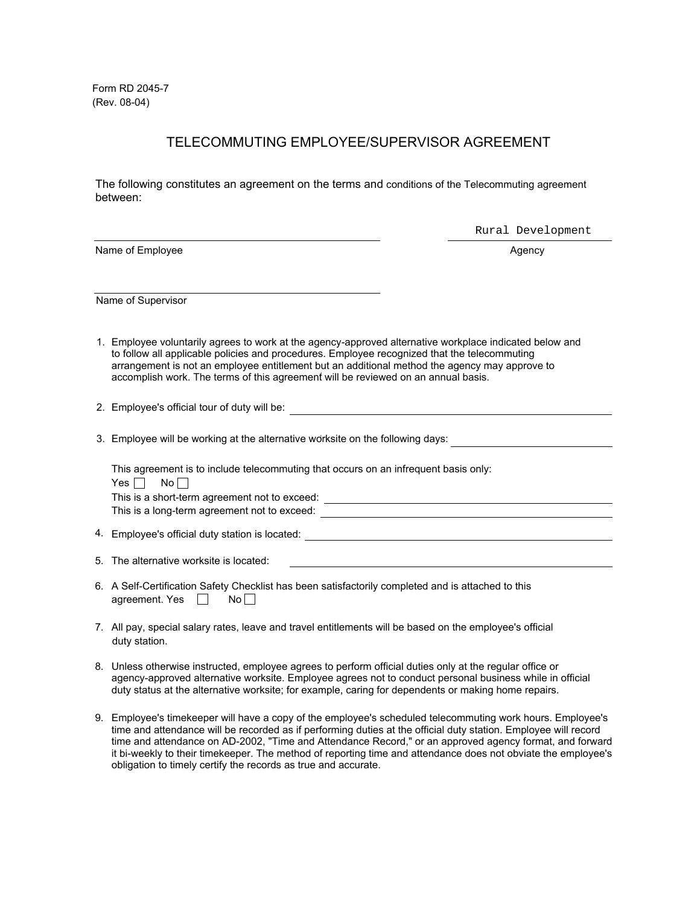Form RD 2045-7 (Rev. 08-04)

## TELECOMMUTING EMPLOYEE/SUPERVISOR AGREEMENT

The following constitutes an agreement on the terms and conditions of the Telecommuting agreement between:

Name of Employee Agency and the Second Second Second Second Second Second Second Second Second Second Second Second Second Second Second Second Second Second Second Second Second Second Second Second Second Second Second S

Rural Development

Name of Supervisor

- 1. Employee voluntarily agrees to work at the agency-approved alternative workplace indicated below and accomplish work. The terms of this agreement will be reviewed on an annual basis. to follow all applicable policies and procedures. Employee recognized that the telecommuting arrangement is not an employee entitlement but an additional method the agency may approve to
- 2. Employee's official tour of duty will be:
- 3. Employee will be working at the alternative worksite on the following days:

This agreement is to include telecommuting that occurs on an infrequent basis only: Yes  $\Box$  No  $\Box$ This is a short-term agreement not to exceed:

This is a long-term agreement not to exceed:

4. Employee's official duty station is located:

5. The alternative worksite is located:

- 6. A Self-Certification Safety Checklist has been satisfactorily completed and is attached to this agreement. Yes  $\Box$  No $\Box$
- 7. All pay, special salary rates, leave and travel entitlements will be based on the employee's official duty station.
- 8. Unless otherwise instructed, employee agrees to perform official duties only at the regular office or agency-approved alternative worksite. Employee agrees not to conduct personal business while in official duty status at the alternative worksite; for example, caring for dependents or making home repairs.
- Employee's timekeeper will have a copy of the employee's scheduled telecommuting work hours. Employee's 9.time and attendance will be recorded as if performing duties at the official duty station. Employee will record time and attendance on AD-2002, "Time and Attendance Record," or an approved agency format, and forward it bi-weekly to their timekeeper. The method of reporting time and attendance does not obviate the employee's obligation to timely certify the records as true and accurate.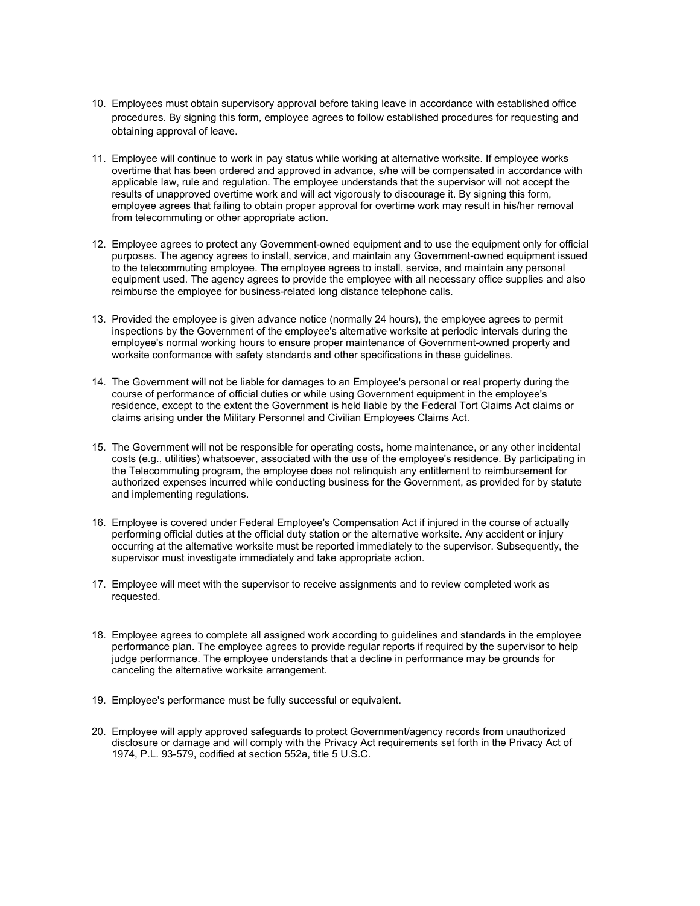- Employees must obtain supervisory approval before taking leave in accordance with established office 10. procedures. By signing this form, employee agrees to follow established procedures for requesting and obtaining approval of leave.
- Employee will continue to work in pay status while working at alternative worksite. If employee works 11. overtime that has been ordered and approved in advance, s/he will be compensated in accordance with applicable law, rule and regulation. The employee understands that the supervisor will not accept the results of unapproved overtime work and will act vigorously to discourage it. By signing this form, employee agrees that failing to obtain proper approval for overtime work may result in his/her removal from telecommuting or other appropriate action.
- 12. Employee agrees to protect any Government-owned equipment and to use the equipment only for official purposes. The agency agrees to install, service, and maintain any Government-owned equipment issued to the telecommuting employee. The employee agrees to install, service, and maintain any personal equipment used. The agency agrees to provide the employee with all necessary office supplies and also reimburse the employee for business-related long distance telephone calls.
- 13. Provided the employee is given advance notice (normally 24 hours), the employee agrees to permit inspections by the Government of the employee's alternative worksite at periodic intervals during the employee's normal working hours to ensure proper maintenance of Government-owned property and worksite conformance with safety standards and other specifications in these guidelines.
- The Government will not be liable for damages to an Employee's personal or real property during the 14. course of performance of official duties or while using Government equipment in the employee's residence, except to the extent the Government is held liable by the Federal Tort Claims Act claims or claims arising under the Military Personnel and Civilian Employees Claims Act.
- The Government will not be responsible for operating costs, home maintenance, or any other incidental 15. costs (e.g., utilities) whatsoever, associated with the use of the employee's residence. By participating in the Telecommuting program, the employee does not relinquish any entitlement to reimbursement for authorized expenses incurred while conducting business for the Government, as provided for by statute and implementing regulations.
- 16. Employee is covered under Federal Employee's Compensation Act if injured in the course of actually performing official duties at the official duty station or the alternative worksite. Any accident or injury occurring at the alternative worksite must be reported immediately to the supervisor. Subsequently, the supervisor must investigate immediately and take appropriate action.
- 17. Employee will meet with the supervisor to receive assignments and to review completed work as requested.
- Employee agrees to complete all assigned work according to guidelines and standards in the employee 18. performance plan. The employee agrees to provide regular reports if required by the supervisor to help judge performance. The employee understands that a decline in performance may be grounds for canceling the alternative worksite arrangement.
- Employee's performance must be fully successful or equivalent. 19.
- Employee will apply approved safeguards to protect Government/agency records from unauthorized 20.disclosure or damage and will comply with the Privacy Act requirements set forth in the Privacy Act of 1974, P.L. 93-579, codified at section 552a, title 5 U.S.C.